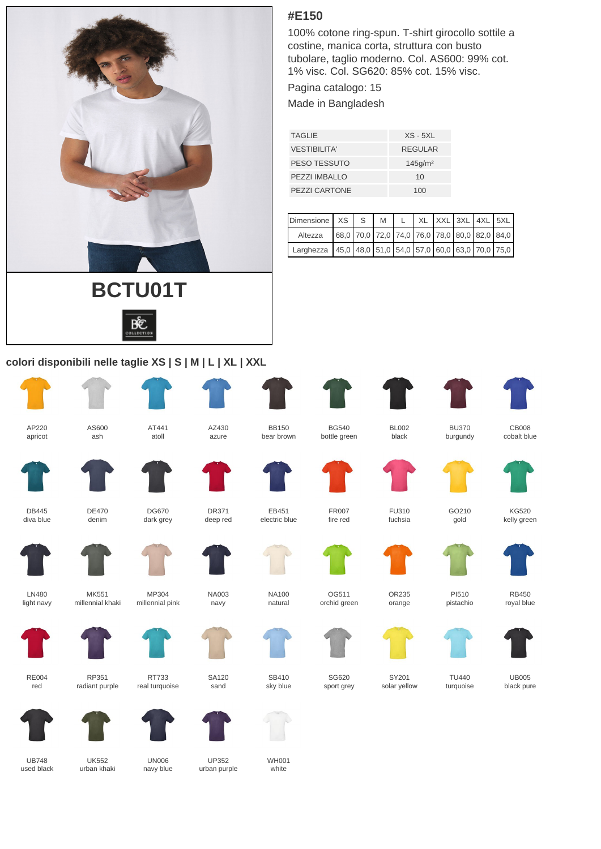

## **colori disponibili nelle taglie XS | S | M | L | XL | XXL**

AT441 atoll

DG670 dark grey

MP304 millennial pink

RT733 real turquoise AZ430 azure

DR371 deep red

> NA003 navy

> SA120 sand



 $DE470$ denim

MK551 millennial khaki

RP351 radiant purple

AS600 ash



LN480





RE004 red





UB748

 $IIK552$ urban khaki

UN006 navy blue



UP352 urban purple

WH001 white





BB150 bear brown

EB451 electric blue

> NA100 natural

SB410

**#E150**

Pagina catalogo: 15 Made in Bangladesh

TAGLIE XS - 5XL VESTIBILITA' REGULAR PESO TESSUTO 145g/m<sup>2</sup> PEZZI IMBALLO 10 PEZZI CARTONE 100





SG620 sport grev

OG511 orchid green

BG540 bottle green

> FR007 fire red



solar yellow



TU440 turquoise black pure





OR235 orange



pistachio



RB450



UB005









CB008 cobalt blue



KG520 kelly green

 $F11310$ fuchsia









black

100% cotone ring-spun. T-shirt girocollo sottile a

 $D$ imensione | XS | S | M | L | XL | XXL | 3XL | 4XL | 5XL Altezza  $\left[ 68,0 \right]$  70,0 72,0 74,0 76,0 78,0 80,0 82,0 84,0 Larghezza 45,0 48,0 51,0 54,0 57,0 60,0 63,0 70,0 75,0

costine, manica corta, struttura con busto tubolare, taglio moderno. Col. AS600: 99% cot. 1% visc. Col. SG620: 85% cot. 15% visc.

BL002